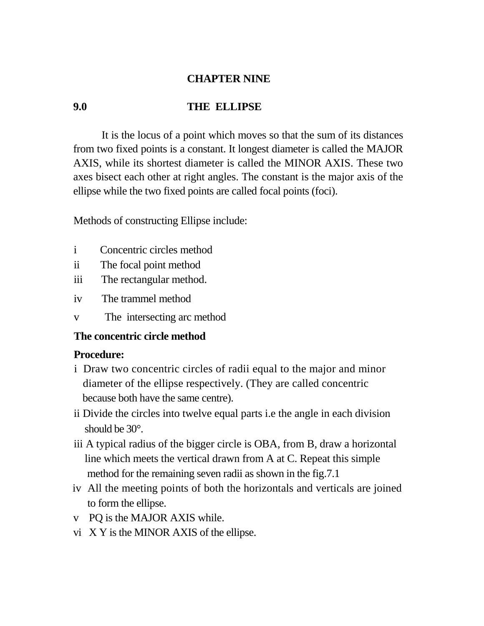## **CHAPTER NINE**

## **9.0 THE ELLIPSE**

It is the locus of a point which moves so that the sum of its distances from two fixed points is a constant. It longest diameter is called the MAJOR AXIS, while its shortest diameter is called the MINOR AXIS. These two axes bisect each other at right angles. The constant is the major axis of the ellipse while the two fixed points are called focal points (foci).

Methods of constructing Ellipse include:

- i Concentric circles method
- ii The focal point method
- iii The rectangular method.
- iv The trammel method
- v The intersecting arc method

# **The concentric circle method**

## **Procedure:**

- i Draw two concentric circles of radii equal to the major and minor diameter of the ellipse respectively. (They are called concentric because both have the same centre).
- ii Divide the circles into twelve equal parts i.e the angle in each division should be 30°.
- iii A typical radius of the bigger circle is OBA, from B, draw a horizontal line which meets the vertical drawn from A at C. Repeat this simple method for the remaining seven radii as shown in the fig.7.1
- iv All the meeting points of both the horizontals and verticals are joined to form the ellipse.
- v PQ is the MAJOR AXIS while.
- vi  $X Y$  is the MINOR AXIS of the ellipse.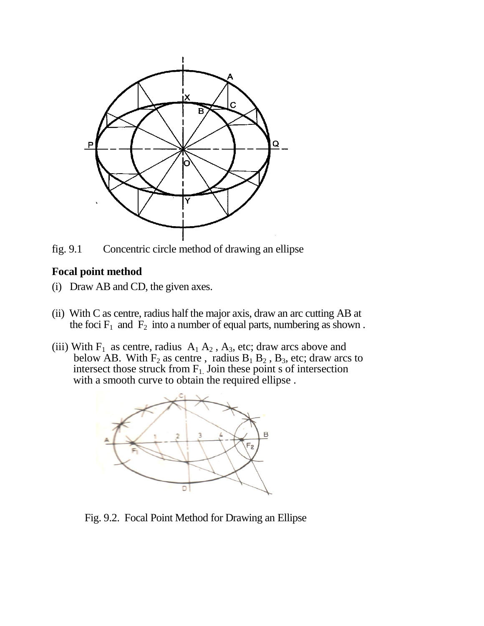



## **Focal point method**

- (i) Draw AB and CD, the given axes.
- (ii) With C as centre, radius half the major axis, draw an arc cutting AB at the foci  $F_1$  and  $F_2$  into a number of equal parts, numbering as shown.
- (iii) With  $F_1$  as centre, radius  $A_1 A_2$ ,  $A_3$ , etc; draw arcs above and below AB. With  $F_2$  as centre, radius  $B_1 B_2$ ,  $B_3$ , etc; draw arcs to intersect those struck from  $F_1$  Join these point s of intersection with a smooth curve to obtain the required ellipse .



Fig. 9.2. Focal Point Method for Drawing an Ellipse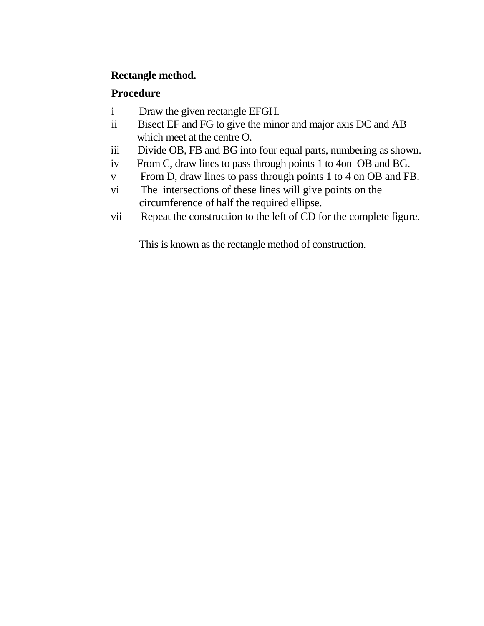# **Rectangle method.**

# **Procedure**

- i Draw the given rectangle EFGH.
- ii Bisect EF and FG to give the minor and major axis DC and AB which meet at the centre O.
- iii Divide OB, FB and BG into four equal parts, numbering as shown.
- iv From C, draw lines to pass through points 1 to 4on OB and BG.
- v From D, draw lines to pass through points 1 to 4 on OB and FB.
- vi The intersections of these lines will give points on the circumference of half the required ellipse.
- vii Repeat the construction to the left of CD for the complete figure.

This is known as the rectangle method of construction.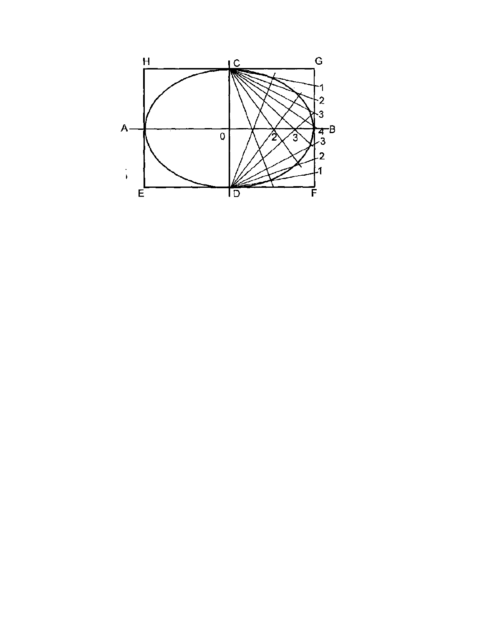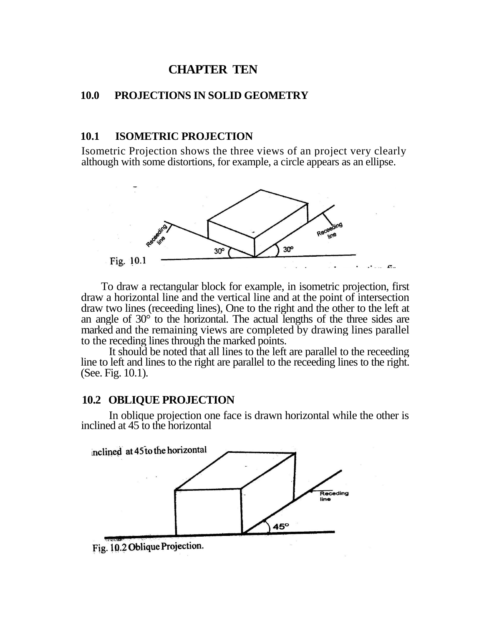## **CHAPTER TEN**

#### **10.0 PROJECTIONS IN SOLID GEOMETRY**

#### **10.1 ISOMETRIC PROJECTION**

Isometric Projection shows the three views of an project very clearly although with some distortions, for example, a circle appears as an ellipse.



To draw a rectangular block for example, in isometric projection, first draw a horizontal line and the vertical line and at the point of intersection draw two lines (receeding lines), One to the right and the other to the left at an angle of 30° to the horizontal. The actual lengths of the three sides are marked and the remaining views are completed by drawing lines parallel to the receding lines through the marked points.

It should be noted that all lines to the left are parallel to the receeding line to left and lines to the right are parallel to the receeding lines to the right. (See. Fig. 10.1).

### **10.2 OBLIQUE PROJECTION**

In oblique projection one face is drawn horizontal while the other is inclined at 45 to the horizontal



Fig. 10.2 Oblique Projection.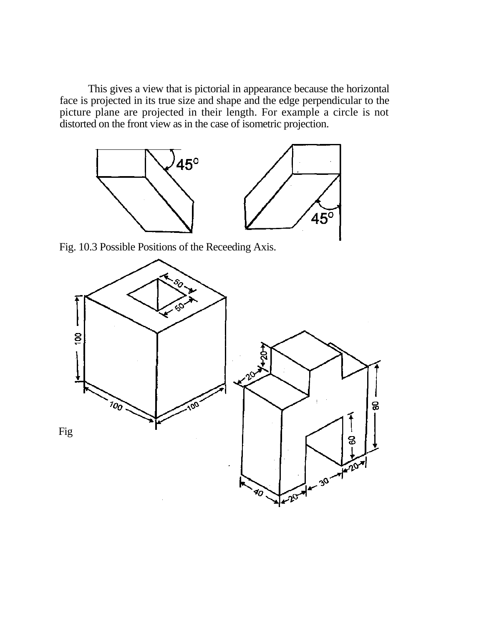This gives a view that is pictorial in appearance because the horizontal face is projected in its true size and shape and the edge perpendicular to the picture plane are projected in their length. For example a circle is not distorted on the front view as in the case of isometric projection.



Fig. 10.3 Possible Positions of the Receeding Axis.

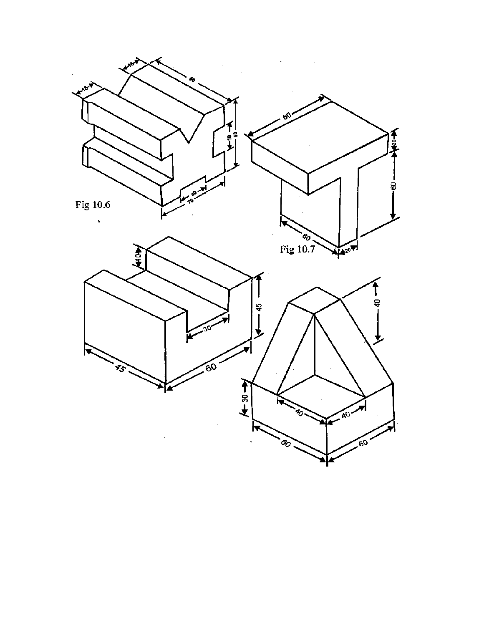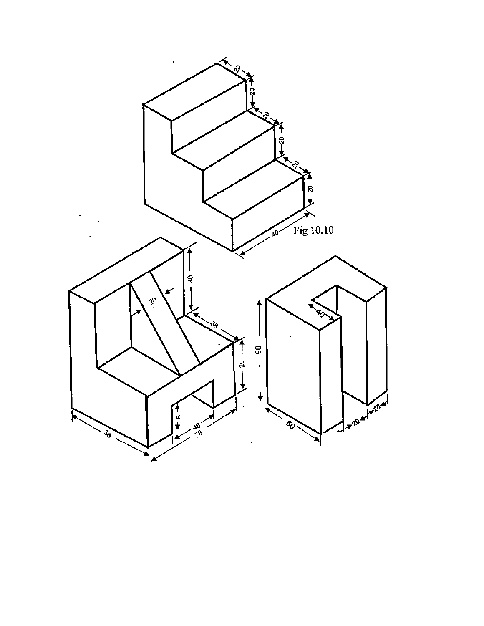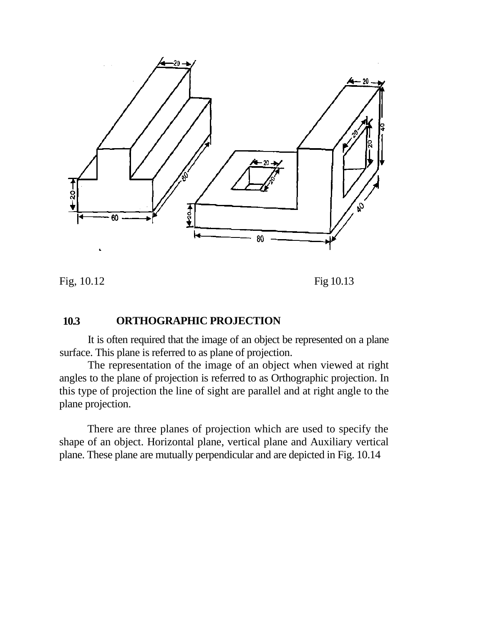

Fig. 10.12 Fig. 10.13

#### **10.3 ORTHOGRAPHIC PROJECTION**

It is often required that the image of an object be represented on a plane surface. This plane is referred to as plane of projection.

The representation of the image of an object when viewed at right angles to the plane of projection is referred to as Orthographic projection. In this type of projection the line of sight are parallel and at right angle to the plane projection.

There are three planes of projection which are used to specify the shape of an object. Horizontal plane, vertical plane and Auxiliary vertical plane. These plane are mutually perpendicular and are depicted in Fig. 10.14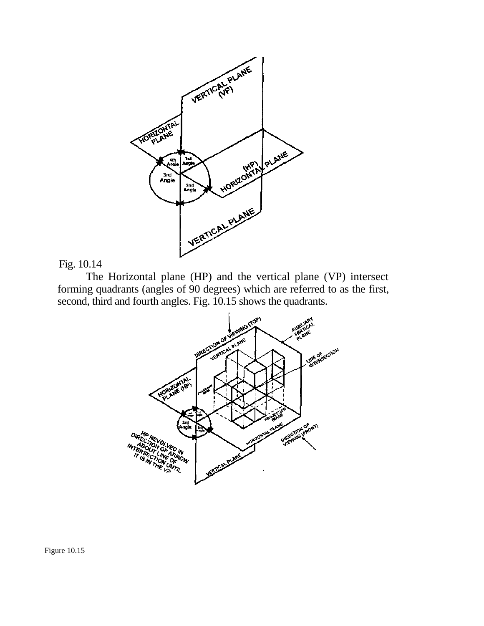

## Fig. 10.14

The Horizontal plane (HP) and the vertical plane (VP) intersect forming quadrants (angles of 90 degrees) which are referred to as the first, second, third and fourth angles. Fig. 10.15 shows the quadrants.

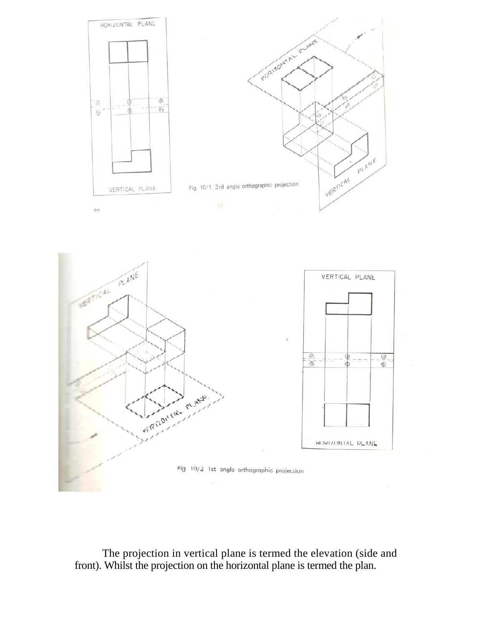



The projection in vertical plane is termed the elevation (side and front). Whilst the projection on the horizontal plane is termed the plan.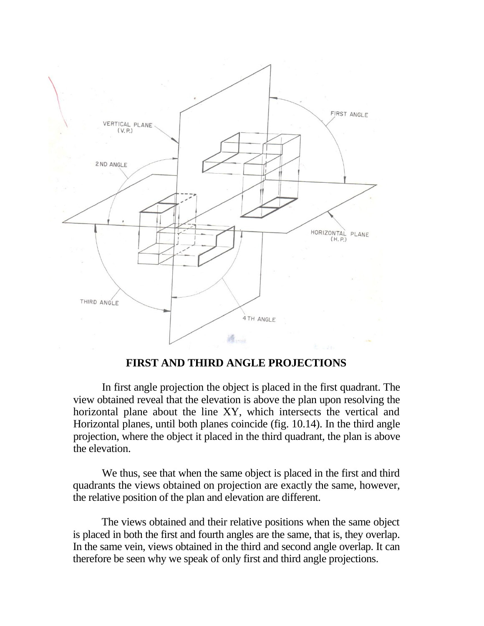

**FIRST AND THIRD ANGLE PROJECTIONS**

In first angle projection the object is placed in the first quadrant. The view obtained reveal that the elevation is above the plan upon resolving the horizontal plane about the line XY, which intersects the vertical and Horizontal planes, until both planes coincide (fig. 10.14). In the third angle projection, where the object it placed in the third quadrant, the plan is above the elevation.

We thus, see that when the same object is placed in the first and third quadrants the views obtained on projection are exactly the same, however, the relative position of the plan and elevation are different.

The views obtained and their relative positions when the same object is placed in both the first and fourth angles are the same, that is, they overlap. In the same vein, views obtained in the third and second angle overlap. It can therefore be seen why we speak of only first and third angle projections.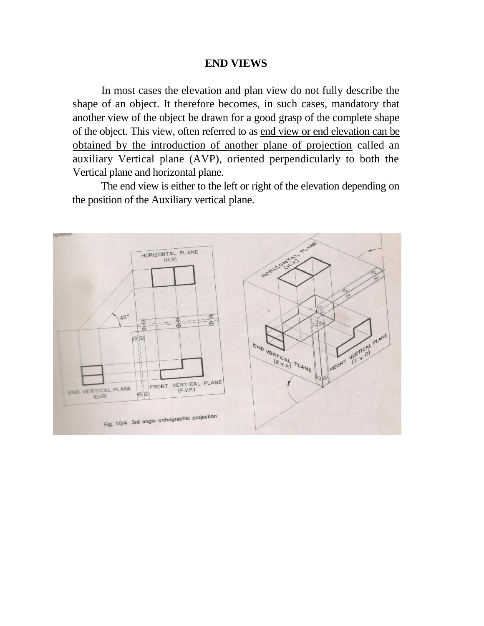#### **END VIEWS**

In most cases the elevation and plan view do not fully describe the shape of an object. It therefore becomes, in such cases, mandatory that another view of the object be drawn for a good grasp of the complete shape of the object. This view, often referred to as end view or end elevation can be obtained by the introduction of another plane of projection called an auxiliary Vertical plane (AVP), oriented perpendicularly to both the Vertical plane and horizontal plane.

The end view is either to the left or right of the elevation depending on the position of the Auxiliary vertical plane.

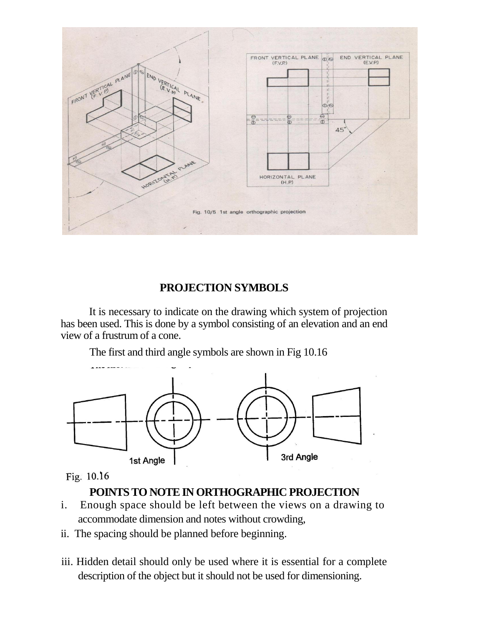

# **PROJECTION SYMBOLS**

It is necessary to indicate on the drawing which system of projection has been used. This is done by a symbol consisting of an elevation and an end view of a frustrum of a cone.

The first and third angle symbols are shown in Fig 10.16



Fig. 10.16

# **POINTS TO NOTE IN ORTHOGRAPHIC PROJECTION**

- i. Enough space should be left between the views on a drawing to accommodate dimension and notes without crowding,
- ii. The spacing should be planned before beginning.
- iii. Hidden detail should only be used where it is essential for a complete description of the object but it should not be used for dimensioning.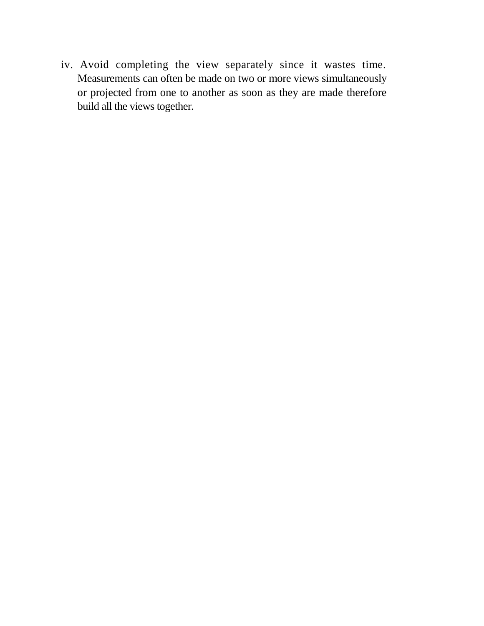iv. Avoid completing the view separately since it wastes time. Measurements can often be made on two or more views simultaneously or projected from one to another as soon as they are made therefore build all the views together.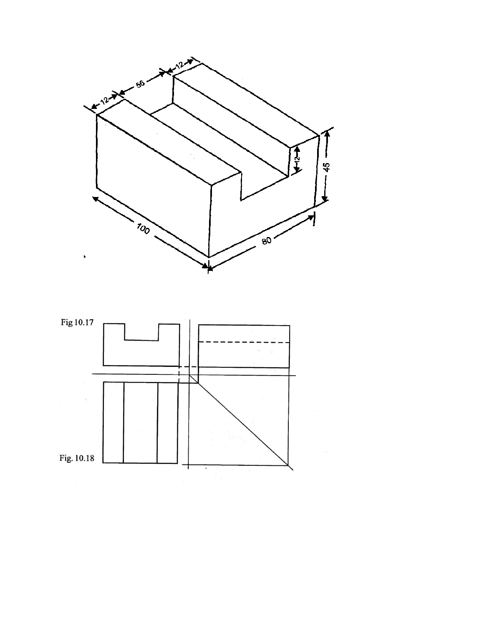